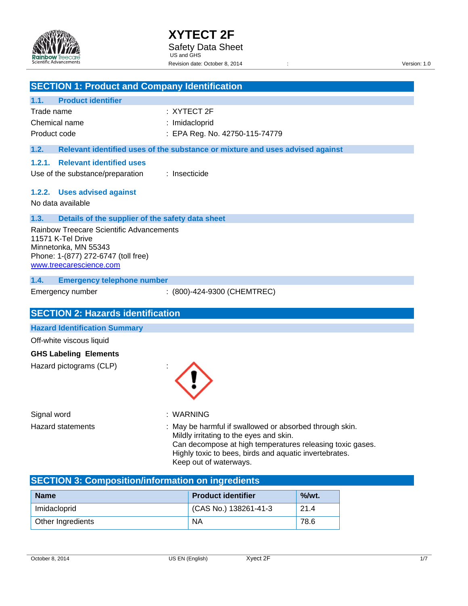

| <b>SECTION 1: Product and Company Identification</b>                 |               |                                                                                                  |          |  |
|----------------------------------------------------------------------|---------------|--------------------------------------------------------------------------------------------------|----------|--|
| <b>Product identifier</b><br>1.1.                                    |               |                                                                                                  |          |  |
| Trade name                                                           |               | : XYTECT 2F                                                                                      |          |  |
| Chemical name                                                        |               | : Imidacloprid                                                                                   |          |  |
| Product code                                                         |               | : EPA Reg. No. 42750-115-74779                                                                   |          |  |
| 1.2.                                                                 |               | Relevant identified uses of the substance or mixture and uses advised against                    |          |  |
| <b>Relevant identified uses</b><br>1.2.1.                            |               |                                                                                                  |          |  |
| Use of the substance/preparation                                     | : Insecticide |                                                                                                  |          |  |
|                                                                      |               |                                                                                                  |          |  |
| 1.2.2. Uses advised against                                          |               |                                                                                                  |          |  |
| No data available                                                    |               |                                                                                                  |          |  |
| 1.3.<br>Details of the supplier of the safety data sheet             |               |                                                                                                  |          |  |
| <b>Rainbow Treecare Scientific Advancements</b><br>11571 K-Tel Drive |               |                                                                                                  |          |  |
| Minnetonka, MN 55343                                                 |               |                                                                                                  |          |  |
| Phone: 1-(877) 272-6747 (toll free)                                  |               |                                                                                                  |          |  |
| www.treecarescience.com                                              |               |                                                                                                  |          |  |
| 1.4.<br><b>Emergency telephone number</b>                            |               |                                                                                                  |          |  |
| Emergency number                                                     |               | : (800)-424-9300 (CHEMTREC)                                                                      |          |  |
|                                                                      |               |                                                                                                  |          |  |
| <b>SECTION 2: Hazards identification</b>                             |               |                                                                                                  |          |  |
| <b>Hazard Identification Summary</b>                                 |               |                                                                                                  |          |  |
| Off-white viscous liquid                                             |               |                                                                                                  |          |  |
| <b>GHS Labeling Elements</b>                                         |               |                                                                                                  |          |  |
| Hazard pictograms (CLP)                                              |               |                                                                                                  |          |  |
|                                                                      |               |                                                                                                  |          |  |
|                                                                      |               |                                                                                                  |          |  |
|                                                                      |               |                                                                                                  |          |  |
| Signal word                                                          | : WARNING     |                                                                                                  |          |  |
| <b>Hazard statements</b>                                             |               | May be harmful if swallowed or absorbed through skin.<br>Mildly irritating to the eyes and skin. |          |  |
|                                                                      |               | Can decompose at high temperatures releasing toxic gases.                                        |          |  |
|                                                                      |               | Highly toxic to bees, birds and aquatic invertebrates.                                           |          |  |
|                                                                      |               | Keep out of waterways.                                                                           |          |  |
| <b>SECTION 3: Composition/information on ingredients</b>             |               |                                                                                                  |          |  |
| <b>Name</b>                                                          |               | <b>Product identifier</b>                                                                        | $%$ /wt. |  |
| Imidacloprid                                                         |               | (CAS No.) 138261-41-3                                                                            | 21.4     |  |

Other Ingredients NA 78.6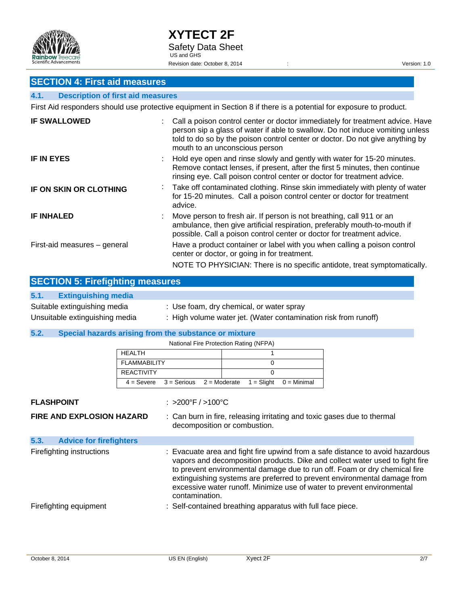

# **SECTION 4: First aid measures**

### **4.1. Description of first aid measures**

First Aid responders should use protective equipment in Section 8 if there is a potential for exposure to product.

| <b>IF SWALLOWED</b>           | Call a poison control center or doctor immediately for treatment advice. Have<br>person sip a glass of water if able to swallow. Do not induce vomiting unless<br>told to do so by the poison control center or doctor. Do not give anything by<br>mouth to an unconscious person |
|-------------------------------|-----------------------------------------------------------------------------------------------------------------------------------------------------------------------------------------------------------------------------------------------------------------------------------|
| <b>IF IN EYES</b>             | Hold eye open and rinse slowly and gently with water for 15-20 minutes.<br>Remove contact lenses, if present, after the first 5 minutes, then continue<br>rinsing eye. Call poison control center or doctor for treatment advice.                                                 |
| <b>IF ON SKIN OR CLOTHING</b> | : Take off contaminated clothing. Rinse skin immediately with plenty of water<br>for 15-20 minutes. Call a poison control center or doctor for treatment<br>advice.                                                                                                               |
| <b>IF INHALED</b>             | Move person to fresh air. If person is not breathing, call 911 or an<br>ambulance, then give artificial respiration, preferably mouth-to-mouth if<br>possible. Call a poison control center or doctor for treatment advice.                                                       |
| First-aid measures - general  | Have a product container or label with you when calling a poison control<br>center or doctor, or going in for treatment.<br>NOTE TO PHYSICIAN: There is no specific antidote, treat symptomatically.                                                                              |

| <b>SECTION 5: Firefighting measures</b> |                                                                 |  |  |
|-----------------------------------------|-----------------------------------------------------------------|--|--|
| 5.1.<br><b>Extinguishing media</b>      |                                                                 |  |  |
| Suitable extinguishing media            | : Use foam, dry chemical, or water spray                        |  |  |
| Unsuitable extinguishing media          | : High volume water jet. (Water contamination risk from runoff) |  |  |

### **5.2. Special hazards arising from the substance or mixture**

National Fire Protection Rating (NFPA)

|                                        |                     |                                       | National Fire Protection Rating (NFPA)                     |               |                                                                                                                                                                                                                                                                                                                                                                                                  |
|----------------------------------------|---------------------|---------------------------------------|------------------------------------------------------------|---------------|--------------------------------------------------------------------------------------------------------------------------------------------------------------------------------------------------------------------------------------------------------------------------------------------------------------------------------------------------------------------------------------------------|
|                                        | <b>HEALTH</b>       |                                       |                                                            |               |                                                                                                                                                                                                                                                                                                                                                                                                  |
|                                        | <b>FLAMMABILITY</b> |                                       | 0                                                          |               |                                                                                                                                                                                                                                                                                                                                                                                                  |
|                                        | <b>REACTIVITY</b>   |                                       | 0                                                          |               |                                                                                                                                                                                                                                                                                                                                                                                                  |
|                                        | $4 =$ Severe        | $3 =$ Serious                         | $2 =$ Moderate<br>$1 =$ Slight                             | $0 =$ Minimal |                                                                                                                                                                                                                                                                                                                                                                                                  |
| <b>FLASHPOINT</b>                      |                     | $: >200^{\circ}$ F / $>100^{\circ}$ C |                                                            |               |                                                                                                                                                                                                                                                                                                                                                                                                  |
| <b>FIRE AND EXPLOSION HAZARD</b>       |                     |                                       | decomposition or combustion.                               |               | : Can burn in fire, releasing irritating and toxic gases due to thermal                                                                                                                                                                                                                                                                                                                          |
| 5.3.<br><b>Advice for firefighters</b> |                     |                                       |                                                            |               |                                                                                                                                                                                                                                                                                                                                                                                                  |
| Firefighting instructions              |                     | contamination.                        |                                                            |               | : Evacuate area and fight fire upwind from a safe distance to avoid hazardous<br>vapors and decomposition products. Dike and collect water used to fight fire<br>to prevent environmental damage due to run off. Foam or dry chemical fire<br>extinguishing systems are preferred to prevent environmental damage from<br>excessive water runoff. Minimize use of water to prevent environmental |
| Firefighting equipment                 |                     |                                       | : Self-contained breathing apparatus with full face piece. |               |                                                                                                                                                                                                                                                                                                                                                                                                  |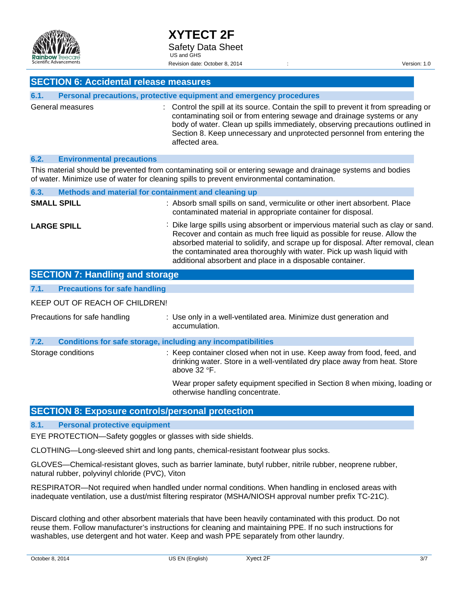

### **SECTION 6: Accidental release measures**

| 6.1. |                  | Personal precautions, protective equipment and emergency procedures                                                                                                                                                                                                                                                                          |
|------|------------------|----------------------------------------------------------------------------------------------------------------------------------------------------------------------------------------------------------------------------------------------------------------------------------------------------------------------------------------------|
|      | General measures | : Control the spill at its source. Contain the spill to prevent it from spreading or<br>contaminating soil or from entering sewage and drainage systems or any<br>body of water. Clean up spills immediately, observing precautions outlined in<br>Section 8. Keep unnecessary and unprotected personnel from entering the<br>affected area. |

### **6.2. Environmental precautions**

This material should be prevented from contaminating soil or entering sewage and drainage systems and bodies of water. Minimize use of water for cleaning spills to prevent environmental contamination.

| 6.3.               | Methods and material for containment and cleaning up |                                                                                                                                                                                                                                                                                                                                                                                       |
|--------------------|------------------------------------------------------|---------------------------------------------------------------------------------------------------------------------------------------------------------------------------------------------------------------------------------------------------------------------------------------------------------------------------------------------------------------------------------------|
| <b>SMALL SPILL</b> |                                                      | : Absorb small spills on sand, vermiculite or other inert absorbent. Place<br>contaminated material in appropriate container for disposal.                                                                                                                                                                                                                                            |
| <b>LARGE SPILL</b> |                                                      | : Dike large spills using absorbent or impervious material such as clay or sand.<br>Recover and contain as much free liquid as possible for reuse. Allow the<br>absorbed material to solidify, and scrape up for disposal. After removal, clean<br>the contaminated area thoroughly with water. Pick up wash liquid with<br>additional absorbent and place in a disposable container. |

| <b>SECTION 7: Handling and storage</b>       |                                                                                                                                                                          |
|----------------------------------------------|--------------------------------------------------------------------------------------------------------------------------------------------------------------------------|
| 7.1.<br><b>Precautions for safe handling</b> |                                                                                                                                                                          |
| KEEP OUT OF REACH OF CHILDREN!               |                                                                                                                                                                          |
| Precautions for safe handling                | : Use only in a well-ventilated area. Minimize dust generation and<br>accumulation.                                                                                      |
| 7.2.                                         | <b>Conditions for safe storage, including any incompatibilities</b>                                                                                                      |
| Storage conditions                           | : Keep container closed when not in use. Keep away from food, feed, and<br>drinking water. Store in a well-ventilated dry place away from heat. Store<br>above $32 °F$ . |
|                                              | Wear proper safety equipment specified in Section 8 when mixing, loading or<br>otherwise handling concentrate.                                                           |

### **SECTION 8: Exposure controls/personal protection**

**8.1. Personal protective equipment** 

EYE PROTECTION—Safety goggles or glasses with side shields.

CLOTHING—Long-sleeved shirt and long pants, chemical-resistant footwear plus socks.

GLOVES—Chemical-resistant gloves, such as barrier laminate, butyl rubber, nitrile rubber, neoprene rubber, natural rubber, polyvinyl chloride (PVC), Viton

RESPIRATOR—Not required when handled under normal conditions. When handling in enclosed areas with inadequate ventilation, use a dust/mist filtering respirator (MSHA/NIOSH approval number prefix TC-21C).

Discard clothing and other absorbent materials that have been heavily contaminated with this product. Do not reuse them. Follow manufacturer's instructions for cleaning and maintaining PPE. If no such instructions for washables, use detergent and hot water. Keep and wash PPE separately from other laundry.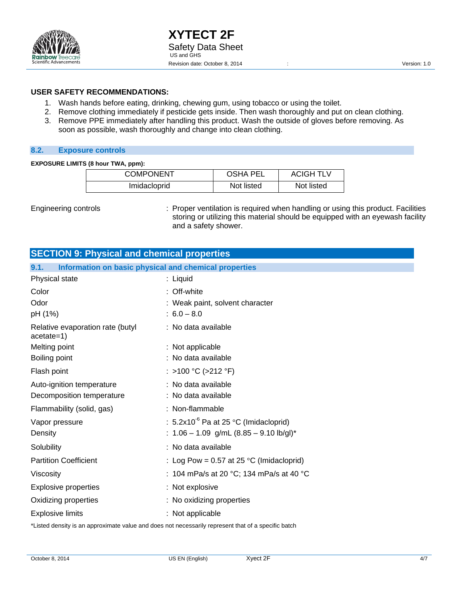

### **USER SAFETY RECOMMENDATIONS:**

- 1. Wash hands before eating, drinking, chewing gum, using tobacco or using the toilet.
- 2. Remove clothing immediately if pesticide gets inside. Then wash thoroughly and put on clean clothing.
- 3. Remove PPE immediately after handling this product. Wash the outside of gloves before removing. As soon as possible, wash thoroughly and change into clean clothing.

### **8.2. Exposure controls**

#### **EXPOSURE LIMITS (8 hour TWA, ppm):**

| <b>COMPONENT</b> | <b>OSHA PEL</b> | <b>ACIGH TLV</b> |
|------------------|-----------------|------------------|
| Imidacloprid     | Not listed      | Not listed       |

Engineering controls **interpretent in the Control**: Proper ventilation is required when handling or using this product. Facilities storing or utilizing this material should be equipped with an eyewash facility and a safety shower.

| <b>SECTION 9: Physical and chemical properties</b>            |                                                    |
|---------------------------------------------------------------|----------------------------------------------------|
| Information on basic physical and chemical properties<br>9.1. |                                                    |
| Physical state                                                | : Liquid                                           |
| Color                                                         | : Off-white                                        |
| Odor                                                          | : Weak paint, solvent character                    |
| pH (1%)                                                       | $: 6.0 - 8.0$                                      |
| Relative evaporation rate (butyl<br>$acetate=1)$              | : No data available                                |
| Melting point                                                 | : Not applicable                                   |
| Boiling point                                                 | : No data available                                |
| Flash point                                                   | : >100 °C (>212 °F)                                |
| Auto-ignition temperature                                     | : No data available                                |
| Decomposition temperature                                     | : No data available                                |
| Flammability (solid, gas)                                     | : Non-flammable                                    |
| Vapor pressure                                                | : 5.2x10 $^6$ Pa at 25 $^{\circ}$ C (Imidacloprid) |
| Density                                                       | : $1.06 - 1.09$ g/mL $(8.85 - 9.10$ lb/gl)*        |
| Solubility                                                    | : No data available                                |
| <b>Partition Coefficient</b>                                  | : Log Pow = $0.57$ at 25 °C (Imidacloprid)         |
| Viscosity                                                     | : 104 mPa/s at 20 °C; 134 mPa/s at 40 °C           |
| <b>Explosive properties</b>                                   | : Not explosive                                    |
| Oxidizing properties                                          | : No oxidizing properties                          |
| <b>Explosive limits</b>                                       | : Not applicable                                   |

\*Listed density is an approximate value and does not necessarily represent that of a specific batch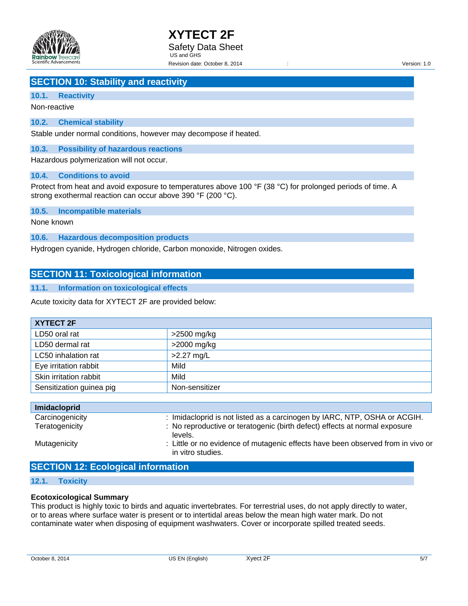

# **SECTION 10: Stability and reactivity**

### **10.1. Reactivity**

Non-reactive

### **10.2. Chemical stability**

Stable under normal conditions, however may decompose if heated.

### **10.3. Possibility of hazardous reactions**

Hazardous polymerization will not occur.

### **10.4. Conditions to avoid**

Protect from heat and avoid exposure to temperatures above 100 °F (38 °C) for prolonged periods of time. A strong exothermal reaction can occur above 390 °F (200 °C).

### **10.5. Incompatible materials**

None known

**10.6. Hazardous decomposition products** 

Hydrogen cyanide, Hydrogen chloride, Carbon monoxide, Nitrogen oxides.

### **SECTION 11: Toxicological information**

### **11.1. Information on toxicological effects**

Acute toxicity data for XYTECT 2F are provided below:

| XYTECT 2F                |                |
|--------------------------|----------------|
| LD50 oral rat            | $>2500$ mg/kg  |
| LD50 dermal rat          | $>2000$ mg/kg  |
| LC50 inhalation rat      | $>2.27$ mg/L   |
| Eye irritation rabbit    | Mild           |
| Skin irritation rabbit   | Mild           |
| Sensitization guinea pig | Non-sensitizer |

| <b>Imidacloprid</b> |                                                                                                      |
|---------------------|------------------------------------------------------------------------------------------------------|
| Carcinogenicity     | : Imidacloprid is not listed as a carcinogen by IARC, NTP, OSHA or ACGIH.                            |
| Teratogenicity      | : No reproductive or teratogenic (birth defect) effects at normal exposure<br>levels.                |
| Mutagenicity        | : Little or no evidence of mutagenic effects have been observed from in vivo or<br>in vitro studies. |

### **SECTION 12: Ecological information**

### **12.1. Toxicity**

### **Ecotoxicological Summary**

This product is highly toxic to birds and aquatic invertebrates. For terrestrial uses, do not apply directly to water, or to areas where surface water is present or to intertidal areas below the mean high water mark. Do not contaminate water when disposing of equipment washwaters. Cover or incorporate spilled treated seeds.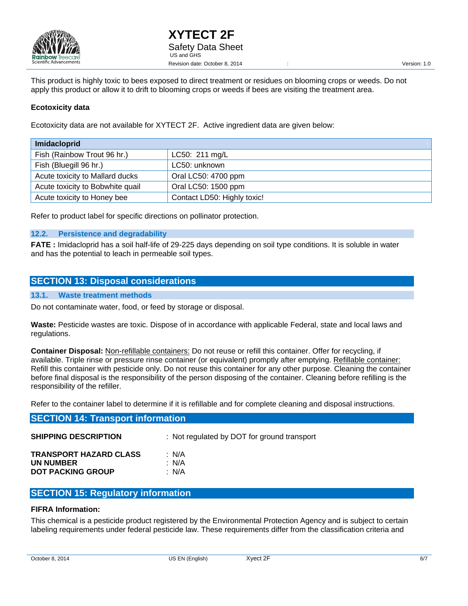

This product is highly toxic to bees exposed to direct treatment or residues on blooming crops or weeds. Do not apply this product or allow it to drift to blooming crops or weeds if bees are visiting the treatment area.

### **Ecotoxicity data**

Ecotoxicity data are not available for XYTECT 2F. Active ingredient data are given below:

| <b>Imidacloprid</b>              |                             |
|----------------------------------|-----------------------------|
| Fish (Rainbow Trout 96 hr.)      | LC50: 211 mg/L              |
| Fish (Bluegill 96 hr.)           | LC50: unknown               |
| Acute toxicity to Mallard ducks  | Oral LC50: 4700 ppm         |
| Acute toxicity to Bobwhite quail | Oral LC50: 1500 ppm         |
| Acute toxicity to Honey bee      | Contact LD50: Highly toxic! |

Refer to product label for specific directions on pollinator protection.

### **12.2. Persistence and degradability**

**FATE :** Imidacloprid has a soil half-life of 29-225 days depending on soil type conditions. It is soluble in water and has the potential to leach in permeable soil types.

### **SECTION 13: Disposal considerations**

### **13.1. Waste treatment methods**

Do not contaminate water, food, or feed by storage or disposal.

**Waste:** Pesticide wastes are toxic. Dispose of in accordance with applicable Federal, state and local laws and regulations.

**Container Disposal:** Non-refillable containers: Do not reuse or refill this container. Offer for recycling, if available. Triple rinse or pressure rinse container (or equivalent) promptly after emptying. Refillable container: Refill this container with pesticide only. Do not reuse this container for any other purpose. Cleaning the container before final disposal is the responsibility of the person disposing of the container. Cleaning before refilling is the responsibility of the refiller.

Refer to the container label to determine if it is refillable and for complete cleaning and disposal instructions.

| <b>SECTION 14: Transport information</b>                               |                                             |  |  |  |  |
|------------------------------------------------------------------------|---------------------------------------------|--|--|--|--|
| <b>SHIPPING DESCRIPTION</b>                                            | : Not regulated by DOT for ground transport |  |  |  |  |
| <b>TRANSPORT HAZARD CLASS</b><br>UN NUMBER<br><b>DOT PACKING GROUP</b> | : N/A<br>: N/A<br>: N/A                     |  |  |  |  |

### **SECTION 15: Regulatory information**

### **FIFRA Information:**

This chemical is a pesticide product registered by the Environmental Protection Agency and is subject to certain labeling requirements under federal pesticide law. These requirements differ from the classification criteria and